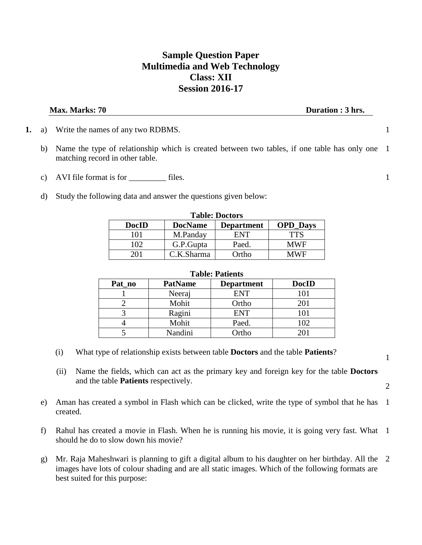### **Sample Question Paper Multimedia and Web Technology Class: XII Session 2016-17**

**Max. Marks: 70** Duration : 3 hrs.

- **1.** a) Write the names of any two RDBMS. 1
	- b) Name the type of relationship which is created between two tables, if one table has only one matching record in other table. 1
	- c) AVI file format is for <u>the files</u>. 1
	- d) Study the following data and answer the questions given below:

| <b>Table: Doctors</b> |                |                   |                 |
|-----------------------|----------------|-------------------|-----------------|
| <b>DocID</b>          | <b>DocName</b> | <b>Department</b> | <b>OPD_Days</b> |
| 101                   | M.Panday       | ENT               | <b>TTS</b>      |
| 102                   | G.P.Gupta      | Paed.             | <b>MWF</b>      |
| 201                   | C.K.Sharma     | Ortho             | MWF             |

## **Table: Patients**

| 1 aviv. 1 auvilio |                |                   |              |
|-------------------|----------------|-------------------|--------------|
| Pat no            | <b>PatName</b> | <b>Department</b> | <b>DocID</b> |
|                   | Neeraj         | <b>ENT</b>        | 101          |
|                   | Mohit          | Ortho             | 201          |
|                   | Ragini         | <b>ENT</b>        |              |
|                   | Mohit          | Paed.             | 102          |
|                   | Nandini        | Ortho             | ว∩∶          |

- (i) What type of relationship exists between table **Doctors** and the table **Patients**?
- (ii) Name the fields, which can act as the primary key and foreign key for the table **Doctors** and the table **Patients** respectively.
- e) Aman has created a symbol in Flash which can be clicked, write the type of symbol that he has created. 1
- f) Rahul has created a movie in Flash. When he is running his movie, it is going very fast. What 1 should he do to slow down his movie?
- g) Mr. Raja Maheshwari is planning to gift a digital album to his daughter on her birthday. All the 2images have lots of colour shading and are all static images. Which of the following formats are best suited for this purpose:

1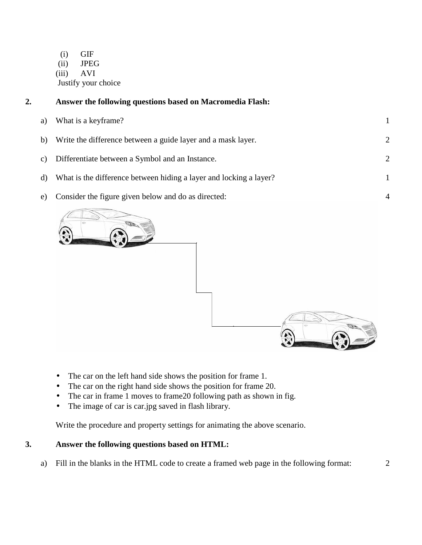(i) GIF (ii) JPEG (iii) AVI Justify your choice

# **2. Answer the following questions based on Macromedia Flash:**  a) What is a keyframe? 1 b) Write the difference between a guide layer and a mask layer. 2 c) Differentiate between a Symbol and an Instance. 2 d) What is the difference between hiding a layer and locking a layer? 1

e) Consider the figure given below and do as directed:



- The car on the left hand side shows the position for frame 1.
- The car on the right hand side shows the position for frame 20.
- The car in frame 1 moves to frame 20 following path as shown in fig.
- The image of car is car.jpg saved in flash library.

Write the procedure and property settings for animating the above scenario.

### **3. Answer the following questions based on HTML:**

a) Fill in the blanks in the HTML code to create a framed web page in the following format: 2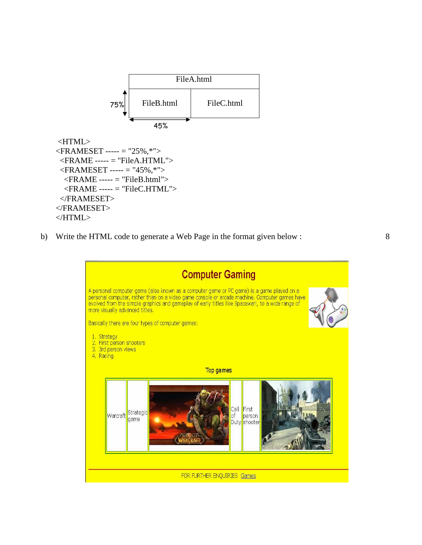

```
 <FRAME ----- = "FileA.HTML"> 
 \langleFRAMESET ----- = "45%,*">
  \langleFRAME ----- = "FileB.html">
   <FRAME ----- = "FileC.HTML"> 
  </FRAMESET> 
</FRAMESET> 
</HTML>
```
b) Write the HTML code to generate a Web Page in the format given below : 8

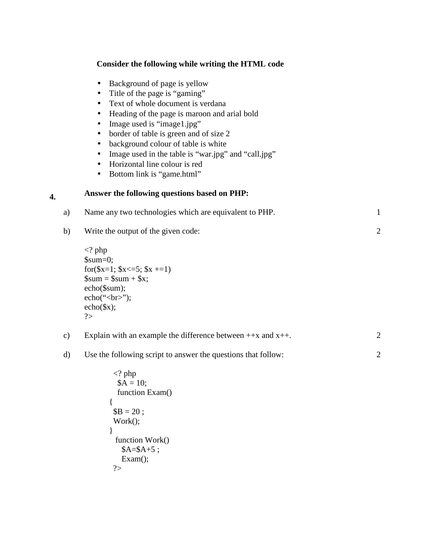#### **Consider the following while writing the HTML code**

- Background of page is yellow
- Title of the page is "gaming"
- Text of whole document is verdana
- Heading of the page is maroon and arial bold
- Image used is "image1.jpg"
- border of table is green and of size 2
- background colour of table is white
- Image used in the table is "war.jpg" and "call.jpg"
- Horizontal line colour is red
- Bottom link is "game.html"

#### **4. Answer the following questions based on PHP:**

{

}

?>

 $$B = 20;$ Work();

 function Work()  $A= $A+5;$ Exam();

| a)            | Name any two technologies which are equivalent to PHP.                                                                                                                                         | 1              |
|---------------|------------------------------------------------------------------------------------------------------------------------------------------------------------------------------------------------|----------------|
| b)            | Write the output of the given code:                                                                                                                                                            | $\overline{2}$ |
|               | $\langle$ ? php<br>$\text{\$sum}=0;$<br>for $(\$x=1; \$x \leq=5; \$x \mid=1)$<br>$\text{\$sum} = \text{\$sum} + \text{\$x};$<br>$echo($sum);$<br>echo(" <sub>or</sub> ");<br>$echo(sx)$ ;<br>? |                |
| $\mathbf{c})$ | Explain with an example the difference between $+x$ and $x++$ .                                                                                                                                | 2              |
| $\mathbf{d}$  | Use the following script to answer the questions that follow:                                                                                                                                  | $\overline{2}$ |
|               | $\langle$ ? php<br>$A = 10$ ;<br>function Exam()                                                                                                                                               |                |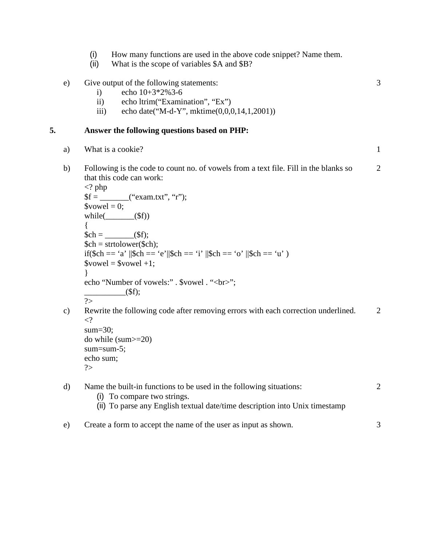(i) How many functions are used in the above code snippet? Name them.

3

(ii) What is the scope of variables \$A and \$B?

#### e) Give output of the following statements:

- i) echo  $10+3*2\%3-6$
- ii) echo ltrim("Examination", "Ex")
- iii) echo date("M-d-Y", mktime(0,0,0,14,1,2001))

#### **5. Answer the following questions based on PHP:**

- a) What is a cookie? 1
- b) Following is the code to count no. of vowels from a text file. Fill in the blanks so that this code can work: 2

```
\langle? php
$f = _______("exam.txt", "r");
\text{S}vowel = 0;
while(\qquad ($f))
{ 
$ch = (\times\) \cdots \cdots \cdots \cdots \cdots \cdots \cdots \cdots \cdots \cdots \cdots \cdots \cdots \cdots \cdots \cdots \cdots \cdots \cdots \cdots \cdots \cdots \cdots \cdots \cdots \cdots \cdots \cdots \cdots \c
$ch = structlower(<math>$ch</math>);if($ch == 'a' ||$ch == 'e'||$ch == 'i' ||$ch == 'o' ||$ch == 'u' )
$vowel = $vowel +1;} 
echo "Number of vowels:" . $vowel . "<br/>show";
                     _{-}($f);
?>
```
c) Rewrite the following code after removing errors with each correction underlined.  $\langle$ ? sum=30; 2

do while (sum>=20) sum=sum-5; echo sum; ?>

- d) Name the built-in functions to be used in the following situations: (i) To compare two strings. (ii) To parse any English textual date/time description into Unix timestamp 2
- e) Create a form to accept the name of the user as input as shown. 3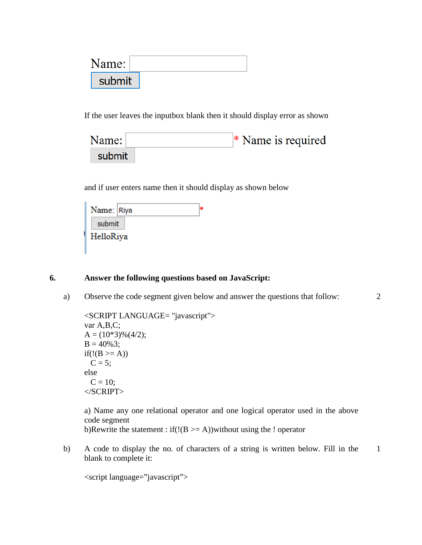| \ame:  |  |
|--------|--|
| submit |  |

If the user leaves the inputbox blank then it should display error as shown

| Name:  | $*$ Name is required |
|--------|----------------------|
| submit |                      |

and if user enters name then it should display as shown below

| Name: Riya |  |
|------------|--|
| submit     |  |
| HelloRiya  |  |

#### **6. Answer the following questions based on JavaScript:**

a) Observe the code segment given below and answer the questions that follow:

2

```
<SCRIPT LANGUAGE= "javascript"> 
var A,B,C; 
A = (10*3)\%(4/2);B = 40\%3;if(!(B \geq A))C = 5;
else 
 C = 10;</SCRIPT>
```
a) Name any one relational operator and one logical operator used in the above code segment b)Rewrite the statement : if  $(!(B \ge A))$  without using the ! operator

b) A code to display the no. of characters of a string is written below. Fill in the blank to complete it: 1

<script language="javascript">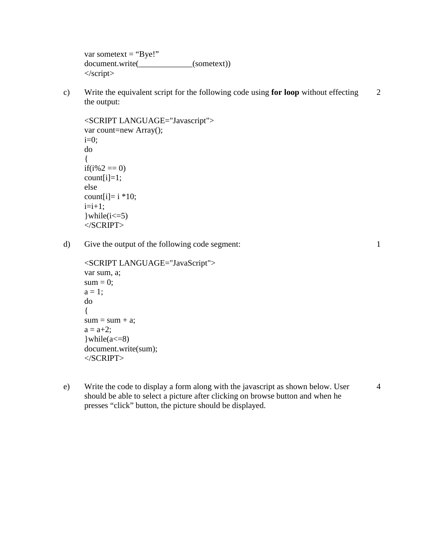var sometext  $=$  "Bye!" document.write(\_\_\_\_\_\_\_\_\_\_\_\_\_(sometext)) </script>

c) Write the equivalent script for the following code using **for loop** without effecting the output: 2

```
<SCRIPT LANGUAGE="Javascript"> 
var count=new Array(); 
i=0;
do 
{ 
if(i%2 == 0)
count[i]=1;else 
count[i]= i * 10;
i=i+1;
\text{while}(i \leq 5)</SCRIPT>
```
d) Give the output of the following code segment:

```
<SCRIPT LANGUAGE="JavaScript"> 
var sum, a; 
sum = 0;
a = 1;
do 
{ 
sum = sum + a;a = a + 2;\text{while}(a \leq -8)document.write(sum); 
\langleSCRIPT>
```
e) Write the code to display a form along with the javascript as shown below. User should be able to select a picture after clicking on browse button and when he presses "click" button, the picture should be displayed. 4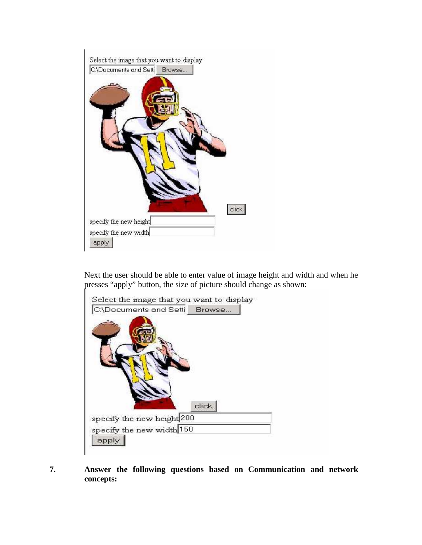

Next the user should be able to enter value of image height and width and when he presses "apply" button, the size of picture should change as shown:

| C:\Documents and Setti Browse |                           |
|-------------------------------|---------------------------|
|                               |                           |
|                               |                           |
|                               |                           |
|                               | click <sup>1</sup>        |
| specify the new height 200    |                           |
|                               | specify the new width 150 |

**7. Answer the following questions based on Communication and network concepts:**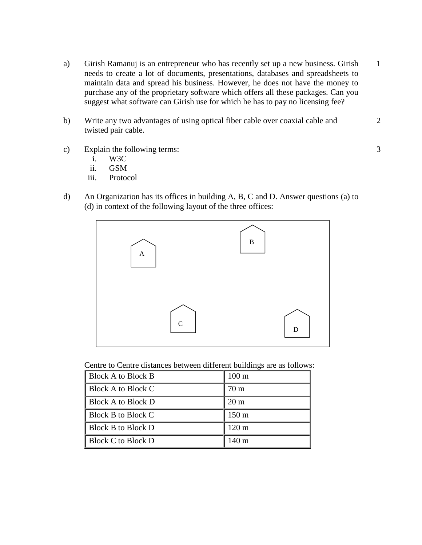- a) Girish Ramanuj is an entrepreneur who has recently set up a new business. Girish needs to create a lot of documents, presentations, databases and spreadsheets to maintain data and spread his business. However, he does not have the money to purchase any of the proprietary software which offers all these packages. Can you suggest what software can Girish use for which he has to pay no licensing fee? 1
- b) Write any two advantages of using optical fiber cable over coaxial cable and twisted pair cable.
- c) Explain the following terms:
	- i. W3C
	- ii. GSM
	- iii. Protocol
- d) An Organization has its offices in building A, B, C and D. Answer questions (a) to (d) in context of the following layout of the three offices:



Centre to Centre distances between different buildings are as follows:

| Block A to Block B        | $100 \text{ m}$  |
|---------------------------|------------------|
| Block A to Block C        | 70 <sub>m</sub>  |
| <b>Block A to Block D</b> | $20 \text{ m}$   |
| <b>Block B to Block C</b> | 150 <sub>m</sub> |
| <b>Block B to Block D</b> | $120 \text{ m}$  |
| Block C to Block D        | 140 <sub>m</sub> |

2